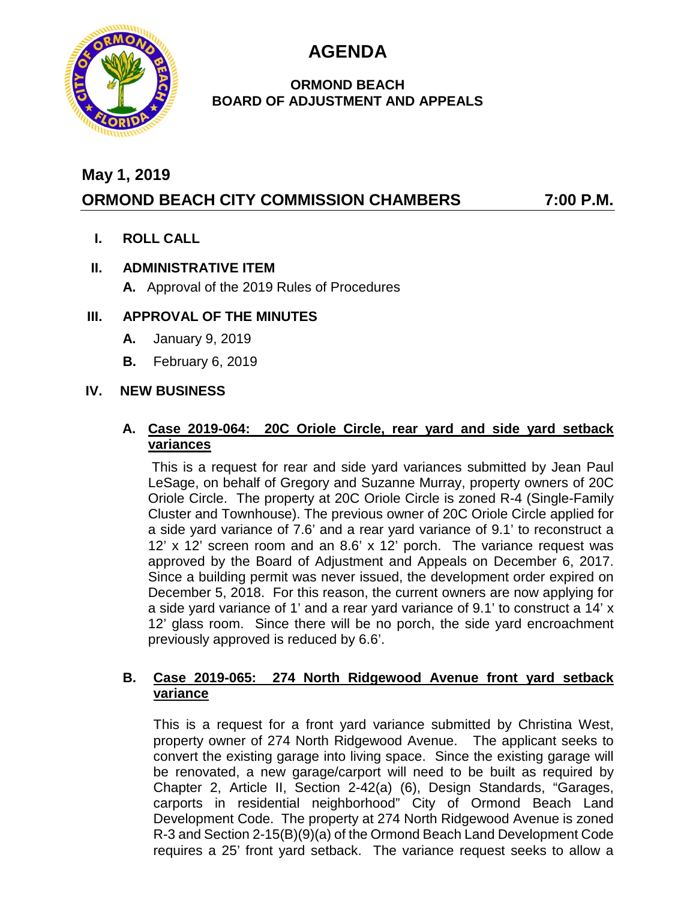**AGENDA**



#### **ORMOND BEACH BOARD OF ADJUSTMENT AND APPEALS**

# **May 1, 2019**

## **ORMOND BEACH CITY COMMISSION CHAMBERS 7:00 P.M.**

**I. ROLL CALL**

## **II. ADMINISTRATIVE ITEM**

**A.** Approval of the 2019 Rules of Procedures

### **III. APPROVAL OF THE MINUTES**

- **A.** January 9, 2019
- **B.** February 6, 2019

### **IV. NEW BUSINESS**

### **A. Case 2019-064: 20C Oriole Circle, rear yard and side yard setback variances**

This is a request for rear and side yard variances submitted by Jean Paul LeSage, on behalf of Gregory and Suzanne Murray, property owners of 20C Oriole Circle. The property at 20C Oriole Circle is zoned R-4 (Single-Family Cluster and Townhouse). The previous owner of 20C Oriole Circle applied for a side yard variance of 7.6' and a rear yard variance of 9.1' to reconstruct a 12' x 12' screen room and an 8.6' x 12' porch. The variance request was approved by the Board of Adjustment and Appeals on December 6, 2017. Since a building permit was never issued, the development order expired on December 5, 2018. For this reason, the current owners are now applying for a side yard variance of 1' and a rear yard variance of 9.1' to construct a 14' x 12' glass room. Since there will be no porch, the side yard encroachment previously approved is reduced by 6.6'.

#### **B. Case 2019-065: 274 North Ridgewood Avenue front yard setback variance**

This is a request for a front yard variance submitted by Christina West, property owner of 274 North Ridgewood Avenue. The applicant seeks to convert the existing garage into living space. Since the existing garage will be renovated, a new garage/carport will need to be built as required by Chapter 2, Article II, Section 2-42(a) (6), Design Standards, "Garages, carports in residential neighborhood" City of Ormond Beach Land Development Code. The property at 274 North Ridgewood Avenue is zoned R-3 and Section 2-15(B)(9)(a) of the Ormond Beach Land Development Code requires a 25' front yard setback. The variance request seeks to allow a